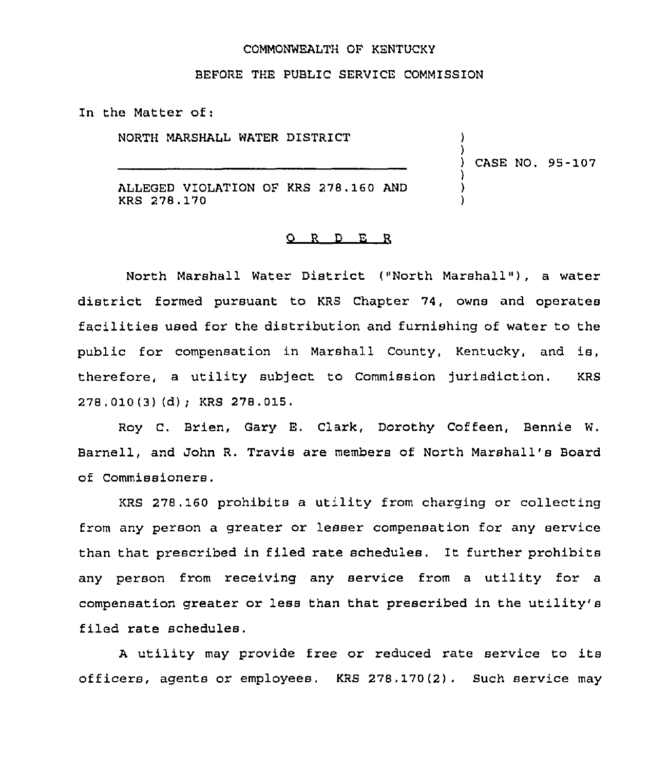#### COMMONWEALTH OF KENTUCKY

### BEFORE THE PUBLIC SERVICE COMMISSION

In the Matter of:

NORTH MARSHALL WATER DISTRICT ALLEGED VIOLATION OF KRS 278,160 AND KRS 278.170 ) ) ) CASE NO. 95-107 ) ) )

#### D E R O.  $\mathbb{R}$

North Marshall Water District ("North Marshall" ), <sup>a</sup> water district formed pursuant to KRS Chapter 74, owns and operates facilities used for the distribution and furnishing of water to the public for compensation in Marshall County, Kentucky, and is, therefore, a utility subject to Commission jurisdiction. KRS 278.010(3) (d); KRS 278.015.

Roy C. Brien, Gary E. Clark, Dorothy Coffeen, Bennie W. Barnell, and John R. Travis are members of North Marshall's Board of Commissioners.

KRS 278.160 prohibits a utility from charging or collecting from any person a greater or lesser compensation for any service than that prescribed in filed rate schedules. It further prohibits any person from receiving any service from <sup>a</sup> utility for <sup>a</sup> compensation greater or less than that prescribed in the utility's filed rate schedules.

<sup>A</sup> utility may provide free or reduced rate service to its officers, agents or employees. KRS 278,170(2). Such service may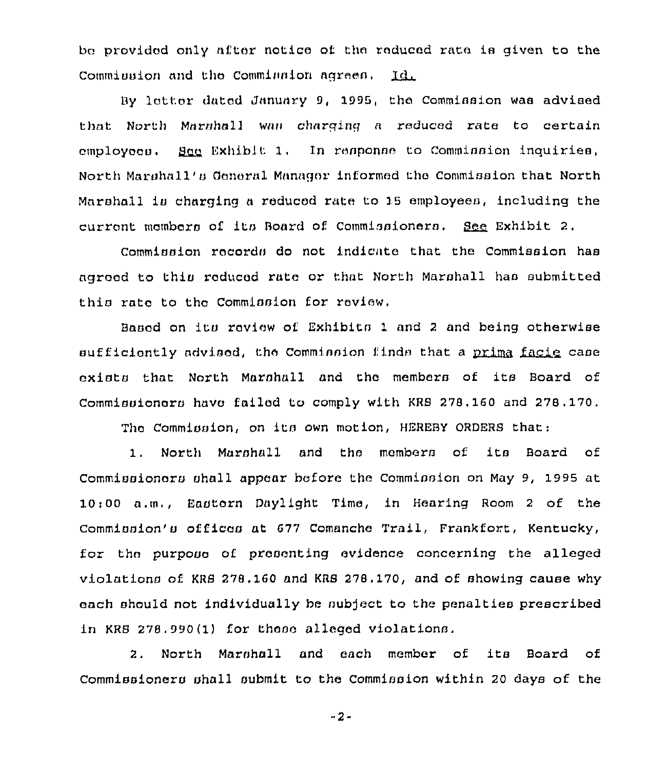bc provided only after notice of the reduced rate ia given to the Commission and the Commission agrees,  $Id$ 

By latter dated Jnnunry 9, 1998, the Commission waa advised that North Marshall was charging a reduced rate to certain  $c$ mploycco. Saa Exhibit 1, In response to Commission inquiries, North Marshall's General Manager informed the Commission that North Marshall is charging a reduced rate to 15 employees, including the current members of its Board of Commissioners. See Exhibit 2,

Commission racordo do not indicate that the Commission has agroed to this reduced rate or that North Marshall has submitted this rate to the Commission for review.

Based on its review of Exhibits 1 and 2 and being otherwis sufficiently advised, the Commission finds that a <u>prima facie</u> case being other<br>prima facie exists that North Marshall and the members of its Board of Commissioners have fnilod to comply with KRS 278. 160 and 278. 170.

The Commission, on its own motion, HEREBY ORDERS that:

1, North Marshall and the members of its Board of Commissioners shall appear before the Commission on May 9, 1995 at 10:00 a.m,, Eaotarn Daylight Time, in Hearing Room <sup>2</sup> of the Commission's offices at 677 Comanche Trail, Frankfort, Kentucky, for the purpose of presenting evidence concerning the alleged violationo of. KRS 278, 160 and KRS 278. 170, and of showing cause why each should not individually be subject to the penalties prescribed in KRS 278.990(1) for these alleged violations.

2, North Marohall and each member of its Board of Commissioners shall submit to the Commission within 20 days of the

-2-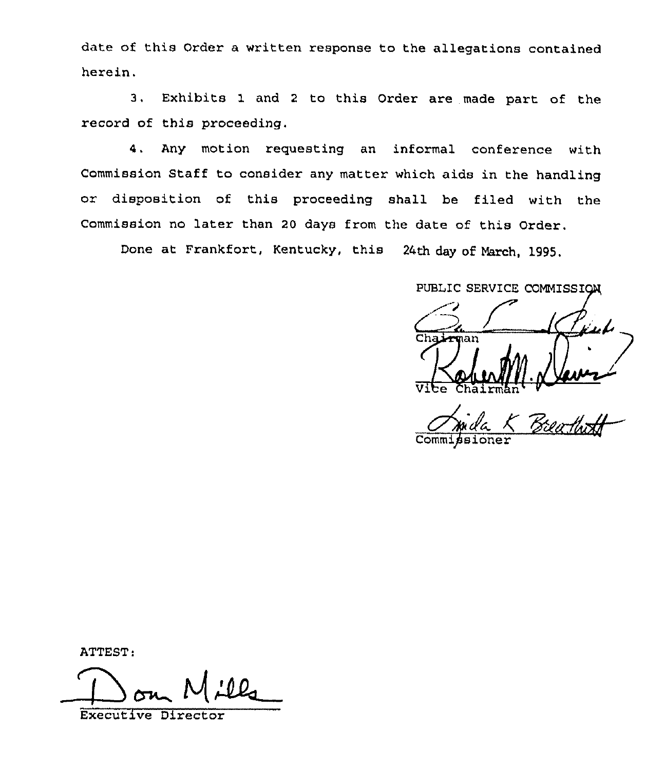date of this Order a written response to the allegations contained herein.

3, Exhibits 1 and <sup>2</sup> to this Order are made part of the record of this proceeding.

4. Any motion requesting an informal conference with Commission Staff to consider any matter which aids in the handling or disposition of this proceeding shall be filed with the Commission no later than <sup>20</sup> days from the date of this Order.

Done at Frankfort, Kentucky, this 24th day of March, 1995.

PUBLIC SERVICE COMMISSION

PUBLIC SERVICE COMMISSION

Chairmhn''ommipsioner

ATTEST:

Dom Mill

Executive Director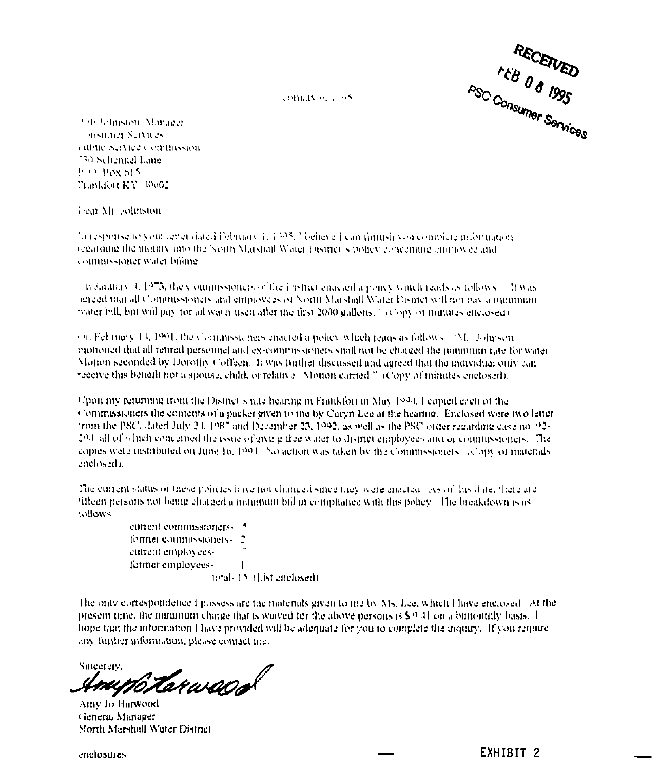RECEIVED

comary of a 198

23 de Johnsten, Manager ensuiner Settlees rablic Service Commission 750 Schenkel Lane P.O. Box 615 Trankfort KY 10602

Dear Mr. Johnston

In response to your letter dated February 1, 1395. I believe I can furnish you complete information regarding the manny into the North Marshall Water District's policy concerning employee and commissioner water billing.

ii faintary 4, 1973, the commissioners of the ibistrict enacted a policy valueli reads as follows - "It was agreed that all Commissioners and employees of North Marshall Water District will not pay a minimum water bill, but will pay for all water used after the first 2000 gallons.<sup>2</sup> (Copy of nunutes enclosed)

(on February 14, 1991, the Commissioners enacted a policy which reads as follows: [AI]. Johnson mononed that all retired personnel and ex-commissioners shall not be charged the minimum rate for water. Motion seconded by Dorothy Coffeen. It was further discussed and agreed that the individual only can receive this benefit not a spouse, child, or relative. Motion carried " (Copy of minutes enclosed).

Upon my returning from the District's rate hearing in Frankfort in May 1994. Feopied each of the Commissioners the contents of a packet given to me by Caryn Lee at the hearing. Enclosed were two letter from the PSC, dated July 24, 1987 and December 23, 1992, as well as the PSC order regarding case no. 92-204 all of which concerned the issue of giving free water to district employees and or commissioners. The copies were distributed on June 16, 1994. No action was taken by the Commissioners (clopy of materials enclosed).

The current status of these policies iawe not changed since they were enacted. As of this date, there are fifteen persons not being charged a minimum bill in compliance with this policy. The breakdown is as tollows.

> eurrent commissioners. 5 former commissioners. current employees. former employees.  $\mathbf{I}$ total-15 (List enclosed).

The only correspondence I possess are the materials given to me by Ms. Lee, which I have enclosed. At the present time, the minimum charge that is waived for the above persons is  $\$^{(0,4)}$  on a bimonthly basis. 1 hope that the information I have provided will be adequate for you to complete the inquiry. If you require any further information, please contact me.

Sincereiv. rupo tarwaca

Amy Jo Harwood General Manager North Marshall Water District

enclosures

EXHIBIT<sub>2</sub>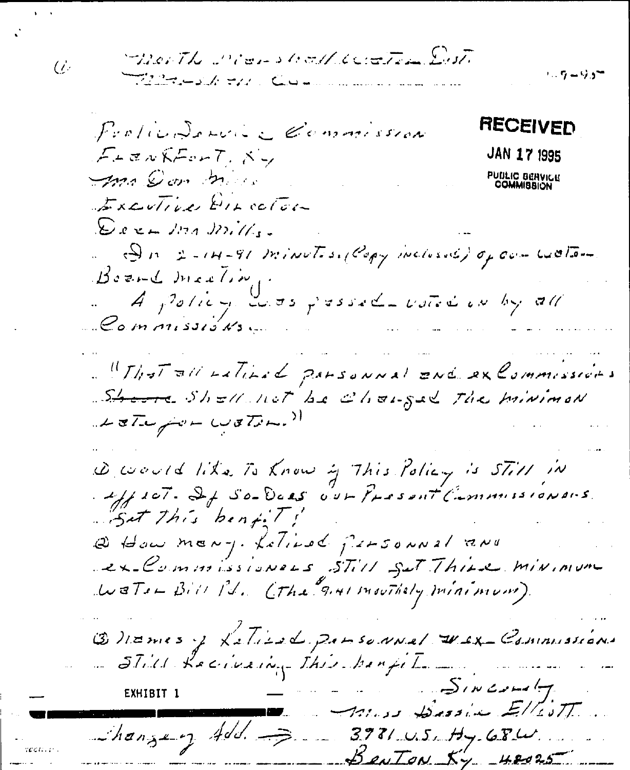$\overline{U}$ 

TherThe Means lealthcoated Dut <u>The same the Common</u>

 $1.5 - 9.5^{\circ}$ 

RECEIVED Prolindonnie Commission Frem KForT, Ky **JAN 17 1995** PUBLIC BERVICE ma Don mar Excutive Einector  $\mathcal{L}$ era ma mills. Di 2-14-91 minutes, (Copy inclusive) of combiation  $B$ ozn $L$  mac $L$ ing A policy costs presedents with on by all Commissions. "That all Latinad parsonnal end excommissions Shore Shell not be changed The Minimon LaTujur WaTon." Devoutd like To Know of This Policy is STill in Set this bent !! Q How many. Letinod personnel and ex-Commissionnes STill Set Thire minimum Watsh Bill Pd. Cthe GAMI mouthely minimum). Butmes y Leties & passennel Wex Commissions  $S_{1}$   $\omega$   $\rightarrow$   $\rightarrow$ Anse Dessie EllesTT hangery Add. 3981 U.S. Hy GBW.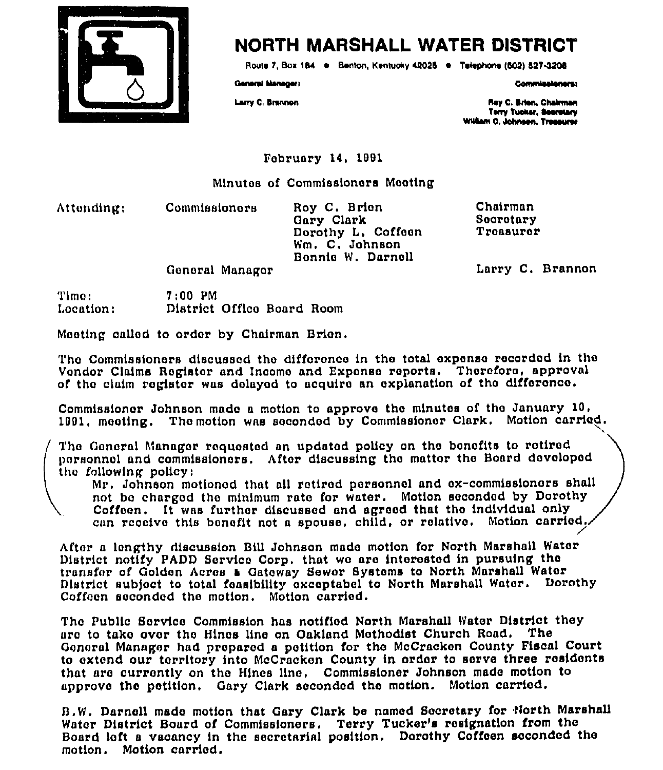

## NORTH MARSHALL WATER DISTRICT

Route 7, Box 184 · Benton, Kentucky 42025 · Telephone (502) 527-3208

General Managers

**Commissioners:** 

Larry C. Brannon

Roy C. Brien, Chairman Terry Tucker, Seerstary William C. Johnson, Treasurer

February 14, 1991

Minutes of Commissioners Meeting

Attonding:

Roy C. Brien Gary Clark Dorothy L. Coffeen Wm. C. Johnson Bennie W. Darnell

Chairman Secretary Treasurer

Larry C. Brannon

General Manager

**Commissioners** 

Timo:  $7:00$  PM District Office Board Room Location:

Moeting called to order by Chairman Brien.

The Commissioners discussed the difference in the total expense recorded in the Vendor Claims Register and Income and Expense reports. Therefore, approval of the claim register was delayed to acquire an explanation of the difference.

Commissioner Johnson made a metion to approve the minutes of the January 10, 1991, meeting. The motion was seconded by Commissioner Clark. Motion carried.

The General Manager requested an updated policy on the benefits to retired personnel and commissioners. After discussing the matter the Board developed the following policy:

Mr. Johnson motioned that all retired personnel and ex-commissioners shall not be charged the minimum rate for water. Motion seconded by Dorothy Coffeen. It was further discussed and agreed that the individual only can receive this benefit not a spouse, child, or relative. Motion carried.

After a lengthy discussion Bill Johnson made motion for North Marshall Water District notify PADD Service Corp. that we are interested in pursuing the transfer of Golden Acres & Gateway Sewer Systems to North Marshall Water District subject to total feasibility exceptabel to North Marshall Water. Dorothy Coffeen seconded the motion. Motion carried.

The Public Service Commission has notified North Marshall Water District they are to take over the Hines line on Oakland Methodist Church Road. The General Manager had prepared a petition for the McCracken County Fiscal Court to extend our territory into McCracken County in order to serve three residents that are currently on the Hines line. Commissioner Johnson made motion to approve the petition. Gary Clark seconded the motion. Motion carried.

B.W. Darnell made motion that Gary Clark be named Secretary for North Marshall Water District Board of Commissioners. Terry Tucker's resignation from the Board left a vacancy in the secretarial position. Dorothy Coffeen seconded the motion. Motion carried.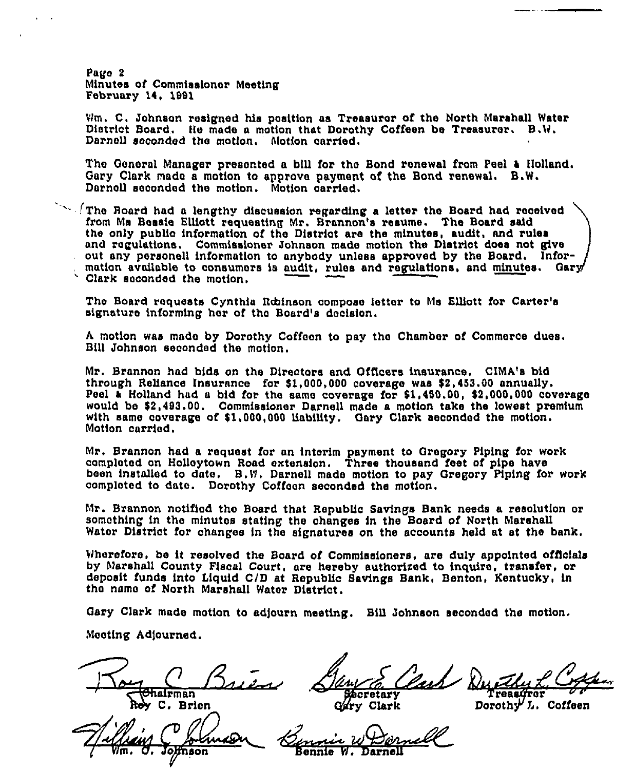Pago 2 Minutes of Commissioner Meeting February 14, 1991

Wm. C, Johnson resigned his position as Treasurer of the North Marshall Water District Board. He made a motion that Dorothy Coffeen be Treasurer. B.W, Darnell secondod the motion, Motion carried.

The General Manager presented a bill for the Bond renewal from Peel a Holland. Gary Clark made a motion to approve payment of the Bond renewal. B.W. Darnoll seconded the motion. Motion carried.

 $\sim$  (The Board had a lengthy discussion regarding a letter the Board had received from Ms Bessie KIIIott requesting Mr. Brannon's resume, The Board said the only public information of the District are the minutes, audit, and rules and regulations, Commissioner Johnson made motion the District does not give out any personell information to anybody unless approved by the Board. Infor mation available to consumers is audit, rules and regulations, and minutes. Gary Clark seconded the motion.

Tho Board requests Cynthia Robinson compose letter to Ms Elllott for Carter's signature informing her of the Board's decision.

<sup>A</sup> motion was msdo by Dorothy Coffecn to pay the Chamber of Commerce dues. Bill Johnson seconded the motion.

Mr. Brannon had bids on the Directors and Officers insurance, CIMA's bid through Reliance Insurance for \$1,000,000 coverage was \$2,453.00 annually. Peel a Holland had a bid fot the same coverage for \$1,450.00, \$2,000,000 coverage would bo \$2,493.00. Commissioner Darnell made a motion take ths lowest premium with same ooverage of \$1,000,000 liability, Gary Clark seconded the motion. Motion carried.

Mr. Brannon had a request for an interim payment to Gregory Piping for work completed on Holloytown Road extension. Three thousand feet of pipe have been installed to date. B.VI. Darnell made motion to pay Gregory Piping for work comploted to date. Dorothy Coffoon seconded the motion.

Mr. Brannon notified the Board that Republic Savings Bank needs a resolution or something in the minutes stating the changes in the Board of North Marshall Water District for changes in the signatures on the accounts held at at the bank.

Wherefore. be it resolved the Board of Commissioners, are duly appointed officials by Marshall County Fiscal Court, are hereby authorized to inquire, transfer, or deposit funds into Liquid C/D at Republic Savings Bank, Benton, Kentucky, in the name of North Marshall Water District.

Gary Clark made motion to adjourn meeting. Bill Johnson seconded the motion.

Mooting Adjourned.

 $\overline{\mathbb{R}}$ hairman C. Brien

Roy C. Brien<br>Roy C. Brien<br>Hillain C. Domeon Sennie W De

Communist<br>Communist Communist Communist Communist Communist Communist Communist Communist Communist Communist Communist<br>Communist Communist Communist Communist Communist Communist Communist Communist Communist Communist Co ry Clark Treasgrer

 $\mathtt{Dorothy'}$   $\mathtt{L.}$  Coffeen

Bennie W. Darnell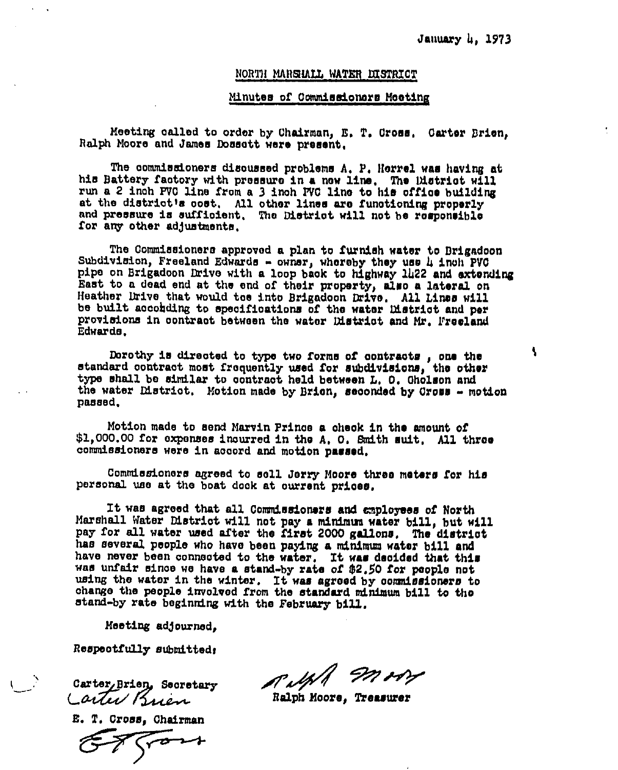ł.

#### NORTH MARSLALL WATER DISTRICT

#### Minutes of Commissionoxs Mooting

Meeting oalled to order by chairman, E, T. Dross. Cax'ter Brion, Ralph Moore and James Dossott were present.

The commissioners disoussed problems A, P, Herrel was having at his Battery factory with pressure in a now line. The District will run a 2 inch pVO line from a 3 inch pVO line to his office building at the dietriotle ooet, All other lines aro functioning properly and pressure is sufficient. The District will not be responsible for any other adjustments.

The Commissioners approved a plan to furnish water to Drigadcon Subdivision, Freeland Edwards - owner, whereby they use  $\mu$  inch PVO pipe on Brigadoon Drive with a loop back to highway 1422 and extending East to a dead end at the ond of their property, also a lateral on Heather Drive that would tee into Brigadoon Drive. All Lines will be built aooohding to specifications of the water District and per provisions in contract between the water District and Mr. Freeland Edwards,

Dorothy is directed to type two forms of contracts, one the standard contract most frequently used for subdivisions, the other type shall be similar to contract held between L, 0. Gholson and the water District. Motion made by Brien, seconded by Cross - motion passed.

Motion made to send Marvin Prince a oheok in the amount of \$1,000.00 for expenses incurred in the A. O. Smith suit. All three commissioners were in accord and motion passed.

Commissioners agreed to soll Joxxy Moore three meters for his personal use at the boat dock at current prioes.

It was agreed that all Commissioners and employees of North Marshall Water District will not pay a minimum water bill, but will pay for all water used after the first <sup>2000</sup> gallons, The district has several people who have been paying a minimum water bill and have never been connected to the water. It was decided that this was unfair since we have a stand-by rate of \$2.50 for people not using the water in the winter. It was agreed by commissioners to change the people involved from the standard minimum bill to the stand-by rate beginning with the February bill.

Meeting adjourned.

Respectfully submittedx

Carter Brien Secretary<br>Carter Brien

E. T. Cross, Chairman

Ralph Moore, Treasurer IN HY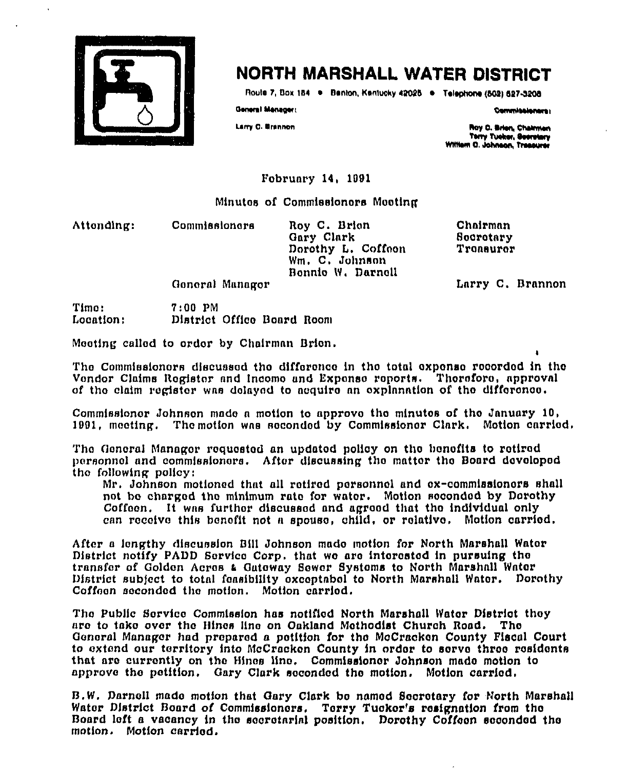

## NORTH MARSHALL WATER DISTRICT

Route 7, Box 184 . Benton, Kentucky 42025 . Telephone (502) 527-3206

General Manager:

Larry C. Brannon

Commissioners:

Roy C. Brien, Chairman Terry Tueker, Seeretary<br>William C. Johnson, Tressurer

Fobruary 14, 1991

Minutes of Commissioners Meeting

Attonding:

Commissionars

Roy C. Brion Gary Clark Dorothy L. Coffeen Wm. C. Johnson Bonnie W. Darnell

Chairman Socrotary Tronsuror

Larry C. Brannon

General Manager

Timo:  $7:00$  PM Location: District Office Board Room

Meeting called to order by Chairman Brien.

The Commissioners discussed the difference in the total expense recorded in the Vendor Claims Register and Income and Expense reports. Therefore, approval of the claim register was delayed to acquire an explanation of the difference.

Commissioner Johnson made a motion to approve the minutes of the January 10, 1991, meeting. The motion was seconded by Commissioner Clark. Motion carried.

The General Manager requested an updated policy on the benefits to retired personnel and commissioners. After discussing the matter the Board developed the following policy:

Mr. Johnson motioned that all retired personnel and ex-commissioners shall not be charged the minimum rate for water. Motion seconded by Dorothy Coffeen. It was further discussed and agreed that the individual only can receive this benefit not a spouse, child, or relative. Motion carried.

After a lengthy discussion Bill Johnson made motion for North Marshall Water District notify PADD Service Corp. that we are interested in pursuing the transfer of Golden Acres & Gateway Sewer Systems to North Marshall Water District subject to total feasibility exceptabel to North Marshall Water. Derothy Coffeen seconded the motion. Motion carried.

The Public Service Commission has notified North Marshall Water District they are to take over the Hines line on Oakland Methodist Church Road. The General Manager had prepared a petition for the McCracken County Fiscal Court to extend our territory into McCracken County in order to serve three residents that are currently on the Hines line. Commissioner Johnson made metion to approve the petition. Gary Clark seconded the motion. Motion carried.

B.W. Darnell made motion that Gary Clark be named Secretary for North Marshall Water District Board of Commissioners. Terry Tucker's resignation from the Board left a vacancy in the secretarial position. Derothy Coffeen seconded the motion. Motion carried.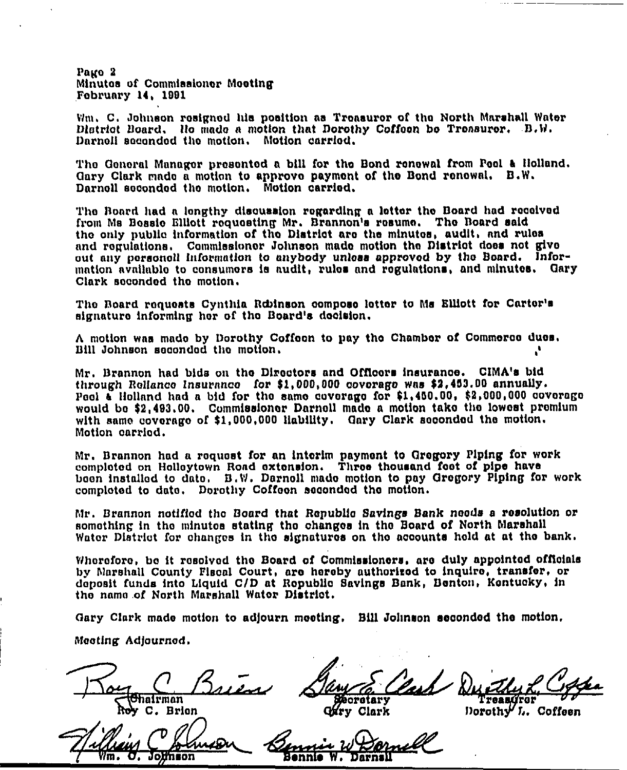Pago 2 Minutes of Commissioner Mooting February 14, 1901

Wm, C. Johnson resigned his position as Treasurer of the North Marshall Water District Board, llo made s motion that Dorothy Coffoon bo Treasurer, B,W. Daxnoli sccondod tho motion, Motion carried.

The General Manager presented a bill for the Bond renewal from Peel & Holland. Oary Clark made a motion to approvo payment of tho Bond ronowal. B.W. Darnoll seconded the motion. Motion carried.

Tho Board had a lengthy dlsousslon rogardlng a lottox tho Board had rocolvod from Ms Bosslo Sllioit roquaatlng Mr. Brannon's rosuma. Tho Board said tho only public information of tho District aro tha minutos, audit, and rulos and regulations. Commlsslonox Johnson mado motion tho District does not give cut any porsonoll lnfoxmatlon to anybody unlose epprovod by tho Board. information available to consumors is audit, rules and regulations, and minutes. Gary Clark socondod tho motion.

The Board requests Cynthia Robinson compose letter to Ms Billott for Carter's signature informing hor of tho Board's decision.

A motion was mado by Dorothy Coffeen to pay the Chamber of Commerce dues.<br>Bill Johnson seconded the motion. Bill Johnson seconded the motion.

Mr. Brennan had bids on tho Dixootors and Offtcors lneuranoa. ClMA's btd through Rollance Insurance for \$1,000,000 covorago was \$2,453.00 annually. Peol a Holland had a bid for the same coverage for \$1,450.00, \$2,000,000 coverage would bc 92,493.00. Commissioner Darnoll made a motion tako tho lowost premium with same coverage of \$1,000,000 liability. Gary Clark seconded the motion. Motion carried.

Mr. Branncn had a roquost for an interim payment to Orogory Piping for work comploted on Holloytown Road extension. Three thousand foot of pipe have boon installed to date. B.W. Darnoll made motion to pay Gregory Piping for work complotod to dato. Dorothy Coffoon sacondod tho motlon.

Mr. Brannon notified the Board that Republic Savings Bank needs a resolution or something in the minutes stating the changes in the Board of North Marshall Wator District for changes in the signatures on the accounts held at at the bank.

Wherefore, be it resolved the Board of Commissioners, are duly appointed officials by Marshall County Fiscal Court, are hereby authorized to inquire, transfer, or deposit funds lnto Liquid C/D at Ropubllc 8avings Bank, Bonton, Kentucky, in tho name.of North Maxshall Watox Dlstrlot.

Oary Clark mado motion to adjouxn mooting. Bill Jolmson sscondod the motion.

Meeting Adjourned.

**Shairman** C. Brion

Saw E. Clark Du thy L. Coffee Clark

Dorothy L. Coffeen

Jolinson Иm.

 $w\overline{\omega}$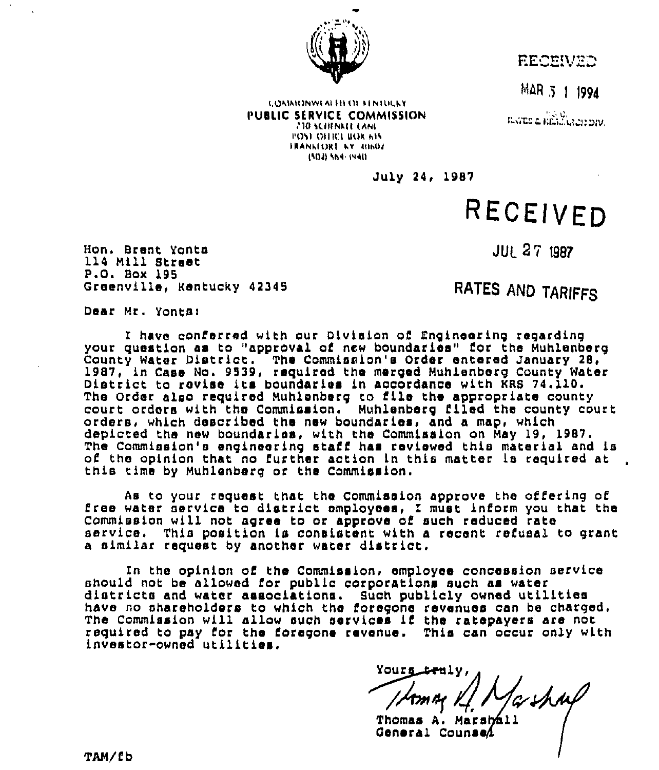

**EECEIVED** 

MAR 3 1 1994

**ILVED & RELEVANTION.** 

(.Ol lhl()NWI hl III I)l l)NI(lhhv PUBLIC SERVICE COMMISSION I'()vl ulllrl III)h hll IRANNIORE NY (GINOJ Ills) hh(''llu

July 24, 1987

# RECEIVED

Mon. Brent Yonta 114 Mill Street P.O. Box 195 Greenville, KentucKy 42345 **JUL 27 1987** 

RATES AND TARIFFS

Dear Mr. Yonts)

<sup>E</sup> have conferred with our Division of Engineering regarding your question as to "approval of new boundaries" lor the Muhlenberg County Water District. The Commission's Order entered January 28, 1987, in Case No. 9539, required the merged Muhlenberg County Water<br>District to revise its boundaries in accordance with KRS 74.110. The Order also required Muhlenberg to file the appropriate county court orders with the Commission. Muhlenberg filed the county court orders, which described the new boundaries, and a map, which depicted the new boundaries, with the Commission on May 19, 1987. The Commission's engineering staff has reviewed this material and is of the opinion that no further action in this matter is required at this time by Muhlenberg or the Commission.

As to your request that the Commission approve the offering of<br>free water service to district employees, I must inform you that the<br>Commission will not agree to or approve of such reduced rate service. This position is consistent with a recent refusal to grant a similar request by another water district.

In the opinion of the Commission, employee concession service<br>should not be allowed for public corporations such as water districts and water associations. Such publicly owned utilities have no shareholders to which the foregone revenues can be charged. The Commission will allow such services if the ratepayers are not required to pay for the foregone revenue. This can occur only with investor-owned utilities.

Thomas A. Marsball<br>General CounseA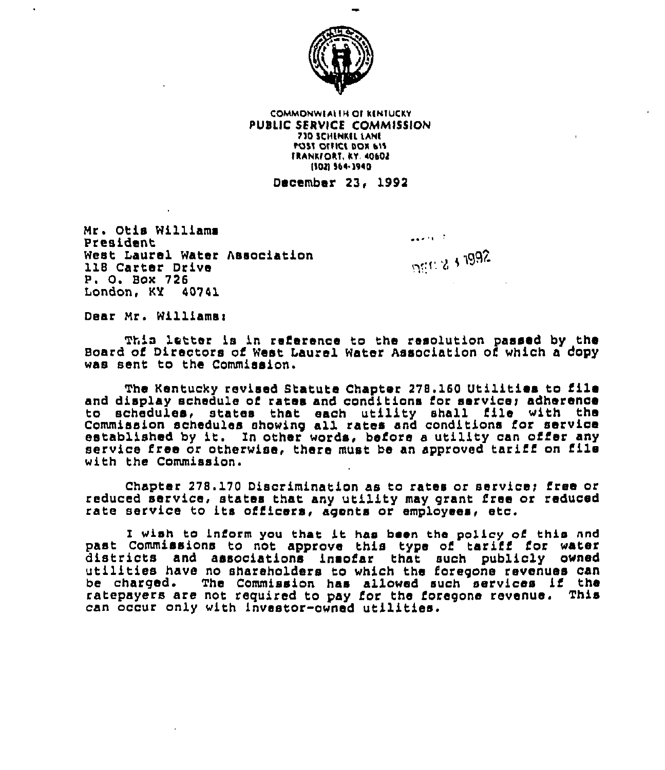

COMMONWEALTH OF KINTUCKY PUBLIC SERVICE COMMISSION 730 SCHLNKEL LANE POST OFFICE BOX 615 TRANKFORT, KY. 40602 (802) 564-3940

December 23, 1992

Mr. Otis Williams President West Laurel Water Association 118 Carter Drive P. 0. Box <sup>726</sup> London, KY 40741

...)) )0%'RL

ون المنابعين<br>المنابعين

Dear Mr. Williams:

This letter is in reference to the resolution passed by the Board of Directors of west Laurel water Association of which a dopy was sent to the Commission.

The Kentucky revised Btatute Chapter 278.160 Utilities to file and display schedule of rates and conditions for service; adherence to schedules, states that each utility shall file with the commission schedules showing all rates and conditions for service established by it. In other words, before a utility can offer any service free or otherwise, there must be an approved tariff on file with the Commission.

Chapter 278.170 Discrimination as to rates or service; free or reduced service, states that any utility may grant free or reduced rate service to its officers, agents or employees, etc.

I wish to inform you that it has been the policy of this and<br>past Commissions to not approve this type of tariff for water districts and associations insofar that such publicly owned<br>utilities have no shareholders to which the foregone revenues can be charged. The Commission has allowed such services if the ratepayers are not required to pay for the foregone revenue. This can occur only with investor-owned utilities.